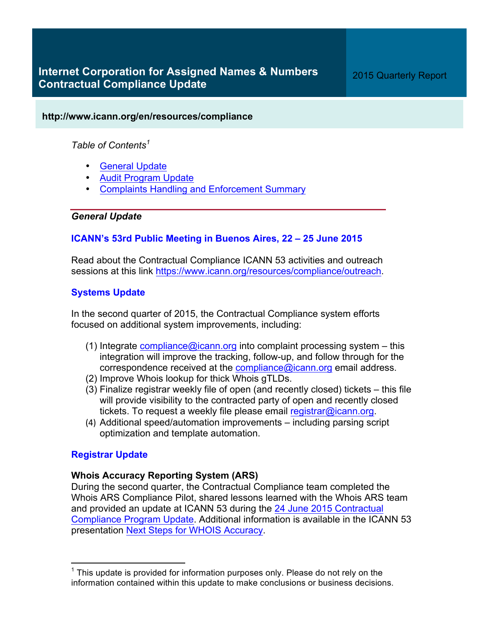## **http://www.icann.org/en/resources/compliance**

# *Table of Contents<sup>1</sup>*

- General Update
- Audit Program Update
- Complaints Handling and Enforcement Summary

## *General Update*

# **ICANN's 53rd Public Meeting in Buenos Aires, 22 – 25 June 2015**

Read about the Contractual Compliance ICANN 53 activities and outreach sessions at this link https://www.icann.org/resources/compliance/outreach.

# **Systems Update**

In the second quarter of 2015, the Contractual Compliance system efforts focused on additional system improvements, including:

- (1) Integrate compliance  $\omega$  canning into complaint processing system this integration will improve the tracking, follow-up, and follow through for the correspondence received at the compliance@icann.org email address.
- (2) Improve Whois lookup for thick Whois gTLDs.
- (3) Finalize registrar weekly file of open (and recently closed) tickets this file will provide visibility to the contracted party of open and recently closed tickets. To request a weekly file please email registrar@icann.org.
- (4) Additional speed/automation improvements including parsing script optimization and template automation.

# **Registrar Update**

# **Whois Accuracy Reporting System (ARS)**

During the second quarter, the Contractual Compliance team completed the Whois ARS Compliance Pilot, shared lessons learned with the Whois ARS team and provided an update at ICANN 53 during the 24 June 2015 Contractual Compliance Program Update. Additional information is available in the ICANN 53 presentation Next Steps for WHOIS Accuracy.

 $1$  This update is provided for information purposes only. Please do not rely on the information contained within this update to make conclusions or business decisions.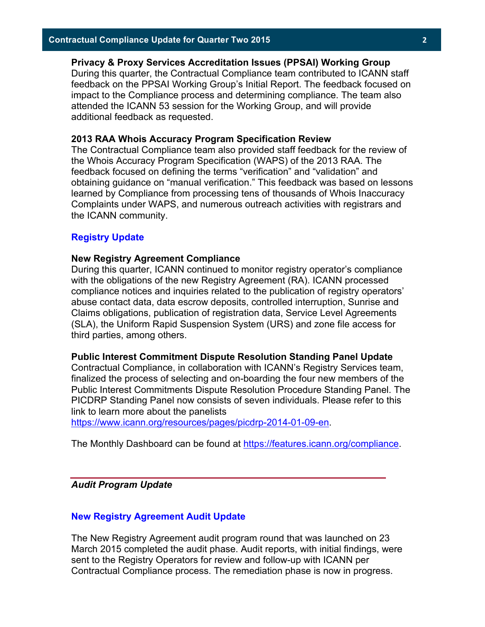# **Privacy & Proxy Services Accreditation Issues (PPSAI) Working Group**

During this quarter, the Contractual Compliance team contributed to ICANN staff feedback on the PPSAI Working Group's Initial Report. The feedback focused on impact to the Compliance process and determining compliance. The team also attended the ICANN 53 session for the Working Group, and will provide additional feedback as requested.

#### **2013 RAA Whois Accuracy Program Specification Review**

The Contractual Compliance team also provided staff feedback for the review of the Whois Accuracy Program Specification (WAPS) of the 2013 RAA. The feedback focused on defining the terms "verification" and "validation" and obtaining guidance on "manual verification." This feedback was based on lessons learned by Compliance from processing tens of thousands of Whois Inaccuracy Complaints under WAPS, and numerous outreach activities with registrars and the ICANN community.

#### **Registry Update**

#### **New Registry Agreement Compliance**

During this quarter, ICANN continued to monitor registry operator's compliance with the obligations of the new Registry Agreement (RA). ICANN processed compliance notices and inquiries related to the publication of registry operators' abuse contact data, data escrow deposits, controlled interruption, Sunrise and Claims obligations, publication of registration data, Service Level Agreements (SLA), the Uniform Rapid Suspension System (URS) and zone file access for third parties, among others.

#### **Public Interest Commitment Dispute Resolution Standing Panel Update**

Contractual Compliance, in collaboration with ICANN's Registry Services team, finalized the process of selecting and on-boarding the four new members of the Public Interest Commitments Dispute Resolution Procedure Standing Panel. The PICDRP Standing Panel now consists of seven individuals. Please refer to this link to learn more about the panelists

https://www.icann.org/resources/pages/picdrp-2014-01-09-en.

The Monthly Dashboard can be found at https://features.icann.org/compliance.

### *Audit Program Update*

#### **New Registry Agreement Audit Update**

The New Registry Agreement audit program round that was launched on 23 March 2015 completed the audit phase. Audit reports, with initial findings, were sent to the Registry Operators for review and follow-up with ICANN per Contractual Compliance process. The remediation phase is now in progress.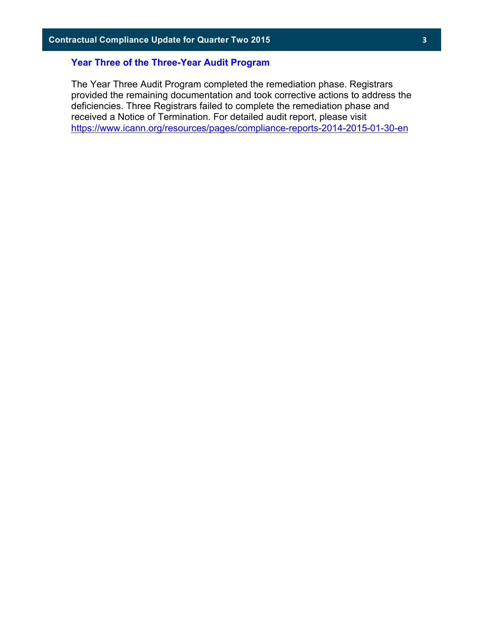## **Year Three of the Three-Year Audit Program**

The Year Three Audit Program completed the remediation phase. Registrars provided the remaining documentation and took corrective actions to address the deficiencies. Three Registrars failed to complete the remediation phase and received a Notice of Termination. For detailed audit report, please visit https://www.icann.org/resources/pages/compliance-reports-2014-2015-01-30-en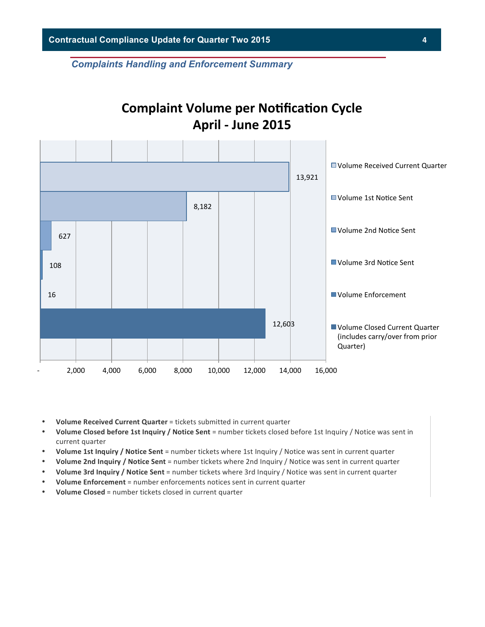*Complaints Handling and Enforcement Summary*

# **Complaint Volume per Notification Cycle April - June 2015**



- Volume Received Current Quarter = tickets submitted in current quarter
- **Volume Closed before 1st Inquiry / Notice Sent** = number tickets closed before 1st Inquiry / Notice was sent in current quarter
- **Volume 1st Inquiry / Notice Sent** = number tickets where 1st Inquiry / Notice was sent in current quarter
- **Volume 2nd Inquiry / Notice Sent** = number tickets where 2nd Inquiry / Notice was sent in current quarter
- **Volume 3rd Inquiry / Notice Sent** = number tickets where 3rd Inquiry / Notice was sent in current quarter
- **Volume Enforcement** = number enforcements notices sent in current quarter
- **Volume Closed** = number tickets closed in current quarter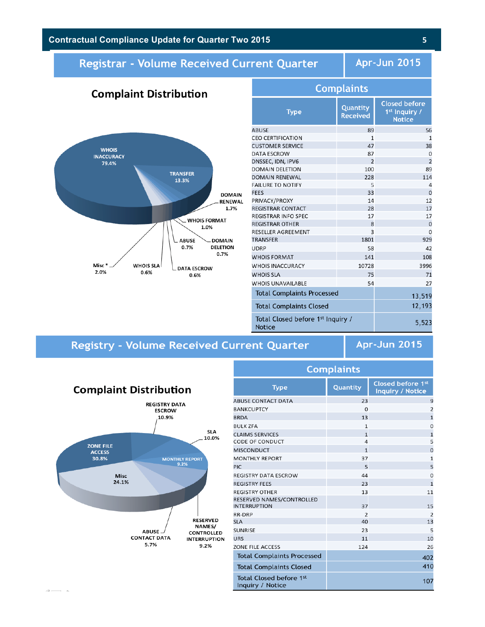# **Contractual Compliance Update for Quarter Two 2015 5**

**Complaint Distribution** 

# Registrar - Volume Received Current Quarter

Apr-Jun 2015



| Complaints                                         |                             |                                                                    |  |  |  |
|----------------------------------------------------|-----------------------------|--------------------------------------------------------------------|--|--|--|
| <b>Type</b>                                        | Quantity<br><b>Received</b> | <b>Closed before</b><br>1 <sup>st</sup> Inquiry /<br><b>Notice</b> |  |  |  |
| ABUSE                                              | 89                          | 56                                                                 |  |  |  |
| <b>CEO CERTIFICATION</b>                           | $\mathbf{1}$                | $\mathbf{1}$                                                       |  |  |  |
| <b>CUSTOMER SERVICE</b>                            | 47                          | 38                                                                 |  |  |  |
| DATA ESCROW                                        | 87                          | $\Omega$                                                           |  |  |  |
| DNSSEC, IDN, IPV6                                  | $\overline{2}$              | $\overline{2}$                                                     |  |  |  |
| <b>DOMAIN DELETION</b>                             | 100                         | 89                                                                 |  |  |  |
| DOMAIN RENEWAL                                     | 228                         | 114                                                                |  |  |  |
| <b>FAILURE TO NOTIFY</b>                           | 5                           | $\overline{4}$                                                     |  |  |  |
| <b>FEES</b>                                        | 33                          | $\Omega$                                                           |  |  |  |
| PRIVACY/PROXY                                      | 14                          | 12                                                                 |  |  |  |
| REGISTRAR CONTACT                                  | 28                          | 17                                                                 |  |  |  |
| REGISTRAR INFO SPEC                                | 17                          | 17                                                                 |  |  |  |
| <b>REGISTRAR OTHER</b>                             | 8                           | $\mathbf 0$                                                        |  |  |  |
| RESELLER AGREEMENT                                 | 3                           | $\overline{0}$                                                     |  |  |  |
| TRANSFER                                           | 1801                        | 929                                                                |  |  |  |
| UDRP                                               | 58                          | 42                                                                 |  |  |  |
| <b>WHOIS FORMAT</b>                                | 141                         | 108                                                                |  |  |  |
| <b>WHOIS INACCURACY</b>                            | 10728                       | 3996                                                               |  |  |  |
| <b>WHOIS SLA</b>                                   | 75                          | 71                                                                 |  |  |  |
| <b>WHOIS UNAVAILABLE</b>                           | 54                          | 27                                                                 |  |  |  |
| <b>Total Complaints Processed</b>                  |                             | 13,519                                                             |  |  |  |
| <b>Total Complaints Closed</b>                     |                             | 12,193                                                             |  |  |  |
| Total Closed before 1st Inquiry /<br><b>Notice</b> |                             | 5,523                                                              |  |  |  |

nnlaintí

# **Registry - Volume Received Current Quarter**

**Apr-Jun 2015** 



 $\omega$  and  $\omega$ 

| Complants                                        |                |                                              |  |  |  |
|--------------------------------------------------|----------------|----------------------------------------------|--|--|--|
| <b>Type</b>                                      | Quantity       | Closed before 1st<br><b>Inquiry / Notice</b> |  |  |  |
| <b>ABUSE CONTACT DATA</b>                        | 23             | 9                                            |  |  |  |
| <b>BANKCUPTCY</b>                                | $\Omega$       | $\overline{2}$                               |  |  |  |
| <b>BRDA</b>                                      | 13             | $\mathbf{1}$                                 |  |  |  |
| <b>BULK ZFA</b>                                  | $\mathbf{1}$   | $\Omega$                                     |  |  |  |
| <b>CLAIMS SERVICES</b>                           | $\mathbf{1}$   | $\mathbf{1}$                                 |  |  |  |
| <b>CODE OF CONDUCT</b>                           | 4              | 5                                            |  |  |  |
| <b>MISCONDUCT</b>                                | $\mathbf{1}$   | $\overline{O}$                               |  |  |  |
| <b>MONTHLY REPORT</b>                            | 37             | $\mathbf{1}$                                 |  |  |  |
| <b>PIC</b>                                       | 5              | 5                                            |  |  |  |
| <b>REGISTRY DATA ESCROW</b>                      | 44             | $\overline{O}$                               |  |  |  |
| <b>REGISTRY FEES</b>                             | 23             | $\mathbf{1}$                                 |  |  |  |
| <b>REGISTRY OTHER</b>                            | 13             | 11                                           |  |  |  |
| RESERVED NAMES/CONTROLLED<br><b>INTERRUPTION</b> | 37             | 15                                           |  |  |  |
| RR-DRP                                           | $\overline{2}$ | $\overline{2}$                               |  |  |  |
| <b>SLA</b>                                       | 40             | 13                                           |  |  |  |
| <b>SUNRISE</b>                                   | 23             | 5                                            |  |  |  |
| <b>URS</b>                                       | 11             | 10                                           |  |  |  |
| ZONE FILE ACCESS                                 | 124            | 26                                           |  |  |  |
| <b>Total Complaints Processed</b>                |                | 402                                          |  |  |  |
| <b>Total Complaints Closed</b>                   |                | 410                                          |  |  |  |
| Total Closed before 1st<br>Inquiry / Notice      |                | 107                                          |  |  |  |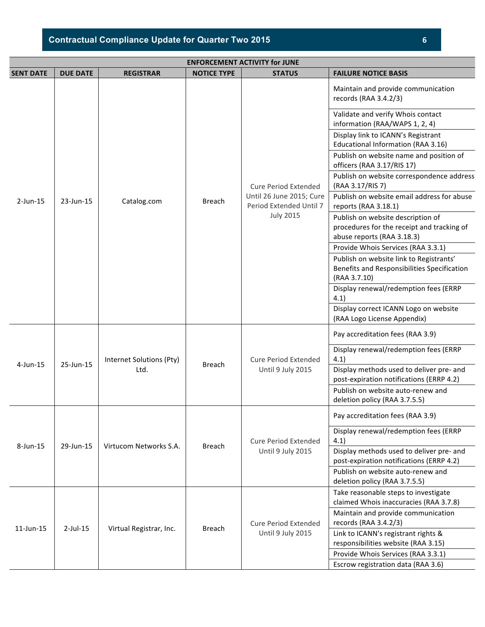| Contractual Compliance Update for Quarter Two 2015 |  |
|----------------------------------------------------|--|
|----------------------------------------------------|--|

| <b>ENFORCEMENT ACTIVITY for JUNE</b> |                 |                                  |                    |                                                     |                                                                                                               |
|--------------------------------------|-----------------|----------------------------------|--------------------|-----------------------------------------------------|---------------------------------------------------------------------------------------------------------------|
| <b>SENT DATE</b>                     | <b>DUE DATE</b> | <b>REGISTRAR</b>                 | <b>NOTICE TYPE</b> | <b>STATUS</b>                                       | <b>FAILURE NOTICE BASIS</b>                                                                                   |
|                                      |                 |                                  |                    |                                                     | Maintain and provide communication<br>records (RAA 3.4.2/3)                                                   |
|                                      |                 |                                  |                    |                                                     | Validate and verify Whois contact<br>information (RAA/WAPS 1, 2, 4)                                           |
|                                      |                 |                                  |                    |                                                     | Display link to ICANN's Registrant<br>Educational Information (RAA 3.16)                                      |
|                                      |                 |                                  |                    |                                                     | Publish on website name and position of<br>officers (RAA 3.17/RIS 17)                                         |
|                                      |                 |                                  |                    | <b>Cure Period Extended</b>                         | Publish on website correspondence address<br>(RAA 3.17/RIS 7)                                                 |
| $2$ -Jun-15                          | 23-Jun-15       | Catalog.com                      | <b>Breach</b>      | Until 26 June 2015; Cure<br>Period Extended Until 7 | Publish on website email address for abuse<br>reports (RAA 3.18.1)                                            |
|                                      |                 |                                  |                    | <b>July 2015</b>                                    | Publish on website description of<br>procedures for the receipt and tracking of<br>abuse reports (RAA 3.18.3) |
|                                      |                 |                                  |                    |                                                     | Provide Whois Services (RAA 3.3.1)                                                                            |
|                                      |                 |                                  |                    |                                                     | Publish on website link to Registrants'<br>Benefits and Responsibilities Specification<br>(RAA 3.7.10)        |
|                                      |                 |                                  |                    |                                                     | Display renewal/redemption fees (ERRP<br>4.1)                                                                 |
|                                      |                 |                                  |                    |                                                     | Display correct ICANN Logo on website<br>(RAA Logo License Appendix)                                          |
|                                      | 25-Jun-15       | Internet Solutions (Pty)<br>Ltd. | <b>Breach</b>      | <b>Cure Period Extended</b><br>Until 9 July 2015    | Pay accreditation fees (RAA 3.9)                                                                              |
| $4$ -Jun-15                          |                 |                                  |                    |                                                     | Display renewal/redemption fees (ERRP<br>4.1)                                                                 |
|                                      |                 |                                  |                    |                                                     | Display methods used to deliver pre- and<br>post-expiration notifications (ERRP 4.2)                          |
|                                      |                 |                                  |                    |                                                     | Publish on website auto-renew and<br>deletion policy (RAA 3.7.5.5)                                            |
|                                      |                 |                                  |                    |                                                     | Pay accreditation fees (RAA 3.9)                                                                              |
| 8-Jun-15                             | 29-Jun-15       | Virtucom Networks S.A.           | Breach             | <b>Cure Period Extended</b>                         | Display renewal/redemption fees (ERRP<br>4.1)                                                                 |
|                                      |                 |                                  |                    | Until 9 July 2015                                   | Display methods used to deliver pre- and<br>post-expiration notifications (ERRP 4.2)                          |
|                                      |                 |                                  |                    |                                                     | Publish on website auto-renew and<br>deletion policy (RAA 3.7.5.5)                                            |
|                                      |                 |                                  |                    |                                                     | Take reasonable steps to investigate<br>claimed Whois inaccuracies (RAA 3.7.8)                                |
|                                      |                 | Virtual Registrar, Inc.          |                    | <b>Cure Period Extended</b>                         | Maintain and provide communication<br>records (RAA 3.4.2/3)                                                   |
| $11$ -Jun- $15$                      | $2$ -Jul-15     |                                  | Breach             | Until 9 July 2015                                   | Link to ICANN's registrant rights &                                                                           |
|                                      |                 |                                  |                    |                                                     | responsibilities website (RAA 3.15)                                                                           |
|                                      |                 |                                  |                    |                                                     | Provide Whois Services (RAA 3.3.1)                                                                            |
|                                      |                 |                                  |                    |                                                     | Escrow registration data (RAA 3.6)                                                                            |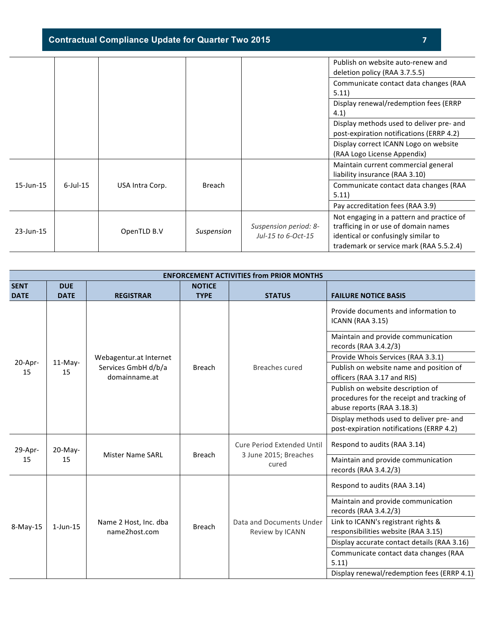**Contractual Compliance Update for Quarter Two 2015 7**

|              |             |                 |            |                                             | Publish on website auto-renew and<br>deletion policy (RAA 3.7.5.5)                                                                                                  |
|--------------|-------------|-----------------|------------|---------------------------------------------|---------------------------------------------------------------------------------------------------------------------------------------------------------------------|
|              |             |                 |            |                                             | Communicate contact data changes (RAA<br>5.11)                                                                                                                      |
|              |             |                 |            |                                             | Display renewal/redemption fees (ERRP<br>4.1)                                                                                                                       |
|              |             |                 |            |                                             | Display methods used to deliver pre- and<br>post-expiration notifications (ERRP 4.2)                                                                                |
|              |             |                 |            |                                             | Display correct ICANN Logo on website<br>(RAA Logo License Appendix)                                                                                                |
|              |             |                 |            |                                             | Maintain current commercial general<br>liability insurance (RAA 3.10)                                                                                               |
| 15-Jun-15    | $6$ -Jul-15 | USA Intra Corp. | Breach     |                                             | Communicate contact data changes (RAA<br>5.11)                                                                                                                      |
|              |             |                 |            |                                             | Pay accreditation fees (RAA 3.9)                                                                                                                                    |
| $23$ -Jun-15 |             | OpenTLD B.V     | Suspension | Suspension period: 8-<br>Jul-15 to 6-Oct-15 | Not engaging in a pattern and practice of<br>trafficing in or use of domain names<br>identical or confusingly similar to<br>trademark or service mark (RAA 5.5.2.4) |

|                            | <b>ENFORCEMENT ACTIVITIES from PRIOR MONTHS</b> |                                      |                              |                                                                     |                                                                                                                                                                                                                                                                                                                                                                                             |  |  |
|----------------------------|-------------------------------------------------|--------------------------------------|------------------------------|---------------------------------------------------------------------|---------------------------------------------------------------------------------------------------------------------------------------------------------------------------------------------------------------------------------------------------------------------------------------------------------------------------------------------------------------------------------------------|--|--|
| <b>SENT</b><br><b>DATE</b> | <b>DUE</b><br><b>DATE</b>                       | <b>REGISTRAR</b>                     | <b>NOTICE</b><br><b>TYPE</b> | <b>STATUS</b>                                                       | <b>FAILURE NOTICE BASIS</b>                                                                                                                                                                                                                                                                                                                                                                 |  |  |
|                            |                                                 |                                      |                              |                                                                     | Provide documents and information to<br><b>ICANN (RAA 3.15)</b>                                                                                                                                                                                                                                                                                                                             |  |  |
|                            |                                                 |                                      |                              |                                                                     | Maintain and provide communication<br>records (RAA 3.4.2/3)                                                                                                                                                                                                                                                                                                                                 |  |  |
| 20-Apr-                    | $11-May-$                                       | Webagentur.at Internet               |                              |                                                                     | Provide Whois Services (RAA 3.3.1)<br>Publish on website name and position of<br>officers (RAA 3.17 and RIS)<br>Publish on website description of<br>procedures for the receipt and tracking of<br>abuse reports (RAA 3.18.3)<br>Display methods used to deliver pre- and<br>post-expiration notifications (ERRP 4.2)<br>Respond to audits (RAA 3.14)<br>Maintain and provide communication |  |  |
| 15                         | 15                                              | Services GmbH d/b/a<br>domainname.at | <b>Breach</b>                | <b>Breaches cured</b>                                               |                                                                                                                                                                                                                                                                                                                                                                                             |  |  |
|                            |                                                 |                                      |                              |                                                                     |                                                                                                                                                                                                                                                                                                                                                                                             |  |  |
|                            |                                                 |                                      |                              |                                                                     |                                                                                                                                                                                                                                                                                                                                                                                             |  |  |
| 29-Apr-                    | 20-May-<br>15                                   | <b>Mister Name SARL</b>              | <b>Breach</b>                | <b>Cure Period Extended Until</b><br>3 June 2015; Breaches<br>cured |                                                                                                                                                                                                                                                                                                                                                                                             |  |  |
| 15                         |                                                 |                                      |                              |                                                                     | records (RAA 3.4.2/3)                                                                                                                                                                                                                                                                                                                                                                       |  |  |
|                            |                                                 |                                      |                              |                                                                     | Respond to audits (RAA 3.14)                                                                                                                                                                                                                                                                                                                                                                |  |  |
|                            |                                                 |                                      |                              |                                                                     | Maintain and provide communication<br>records (RAA 3.4.2/3)<br>Link to ICANN's registrant rights &<br>responsibilities website (RAA 3.15)<br>Display accurate contact details (RAA 3.16)<br>Communicate contact data changes (RAA<br>5.11)                                                                                                                                                  |  |  |
| 8-May-15                   | $1$ -Jun- $15$                                  | Name 2 Host, Inc. dba                | <b>Breach</b>                | Data and Documents Under                                            |                                                                                                                                                                                                                                                                                                                                                                                             |  |  |
|                            |                                                 | name2host.com                        |                              | Review by ICANN                                                     |                                                                                                                                                                                                                                                                                                                                                                                             |  |  |
|                            |                                                 |                                      |                              |                                                                     |                                                                                                                                                                                                                                                                                                                                                                                             |  |  |
|                            |                                                 |                                      |                              |                                                                     |                                                                                                                                                                                                                                                                                                                                                                                             |  |  |
|                            |                                                 |                                      |                              |                                                                     | Display renewal/redemption fees (ERRP 4.1)                                                                                                                                                                                                                                                                                                                                                  |  |  |
|                            |                                                 |                                      |                              |                                                                     |                                                                                                                                                                                                                                                                                                                                                                                             |  |  |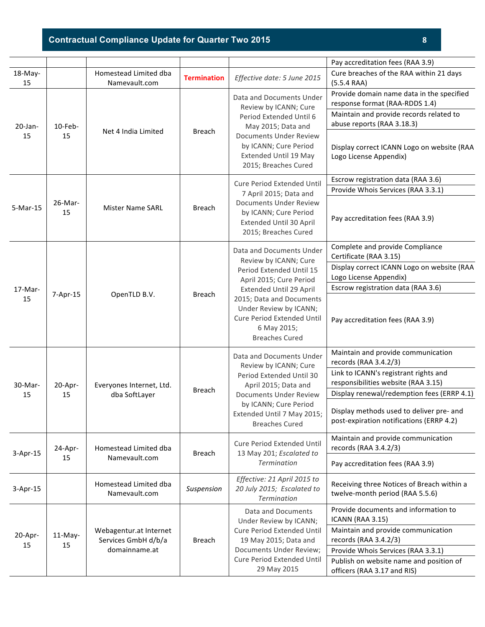# **Contractual Compliance Update for Quarter Two 2015 8**

|                  |                  |                                                                      |                    |                                                                                                                                                                                                                        | Pay accreditation fees (RAA 3.9)                                                                                                                                                                                             |
|------------------|------------------|----------------------------------------------------------------------|--------------------|------------------------------------------------------------------------------------------------------------------------------------------------------------------------------------------------------------------------|------------------------------------------------------------------------------------------------------------------------------------------------------------------------------------------------------------------------------|
| 18-May-<br>15    |                  | Homestead Limited dba<br>Namevault.com                               | <b>Termination</b> | Effective date: 5 June 2015                                                                                                                                                                                            | Cure breaches of the RAA within 21 days<br>(5.5.4RA)                                                                                                                                                                         |
| $20$ -Jan-<br>15 | $10$ -Feb-<br>15 | Net 4 India Limited                                                  | <b>Breach</b>      | Data and Documents Under<br>Review by ICANN; Cure<br>Period Extended Until 6<br>May 2015; Data and<br><b>Documents Under Review</b><br>by ICANN; Cure Period<br>Extended Until 19 May<br>2015; Breaches Cured          | Provide domain name data in the specified<br>response format (RAA-RDDS 1.4)<br>Maintain and provide records related to<br>abuse reports (RAA 3.18.3)<br>Display correct ICANN Logo on website (RAA<br>Logo License Appendix) |
| 5-Mar-15         | 26-Mar-<br>15    | <b>Mister Name SARL</b>                                              | <b>Breach</b>      | <b>Cure Period Extended Until</b><br>7 April 2015; Data and<br><b>Documents Under Review</b><br>by ICANN; Cure Period                                                                                                  | Escrow registration data (RAA 3.6)<br>Provide Whois Services (RAA 3.3.1)                                                                                                                                                     |
|                  |                  |                                                                      |                    | Extended Until 30 April<br>2015; Breaches Cured                                                                                                                                                                        | Pay accreditation fees (RAA 3.9)                                                                                                                                                                                             |
| $17-Mar-$        |                  |                                                                      |                    | Data and Documents Under<br>Review by ICANN; Cure<br>Period Extended Until 15<br>April 2015; Cure Period<br>Extended Until 29 April                                                                                    | Complete and provide Compliance<br>Certificate (RAA 3.15)<br>Display correct ICANN Logo on website (RAA<br>Logo License Appendix)<br>Escrow registration data (RAA 3.6)                                                      |
| 15               | 7-Apr-15         | OpenTLD B.V.                                                         | <b>Breach</b>      | 2015; Data and Documents<br>Under Review by ICANN;<br><b>Cure Period Extended Until</b><br>6 May 2015;<br><b>Breaches Cured</b>                                                                                        | Pay accreditation fees (RAA 3.9)                                                                                                                                                                                             |
|                  | 20-Apr-<br>15    | Everyones Internet, Ltd.<br>dba SoftLayer                            | <b>Breach</b>      | Data and Documents Under<br>Review by ICANN; Cure<br>Period Extended Until 30<br>April 2015; Data and<br><b>Documents Under Review</b><br>by ICANN; Cure Period<br>Extended Until 7 May 2015;<br><b>Breaches Cured</b> | Maintain and provide communication<br>records (RAA 3.4.2/3)                                                                                                                                                                  |
| 30-Mar-          |                  |                                                                      |                    |                                                                                                                                                                                                                        | Link to ICANN's registrant rights and<br>responsibilities website (RAA 3.15)                                                                                                                                                 |
| 15               |                  |                                                                      |                    |                                                                                                                                                                                                                        | Display renewal/redemption fees (ERRP 4.1)                                                                                                                                                                                   |
|                  |                  |                                                                      |                    |                                                                                                                                                                                                                        | Display methods used to deliver pre- and<br>post-expiration notifications (ERRP 4.2)                                                                                                                                         |
| 3-Apr-15         | 24-Apr-          | Homestead Limited dba                                                | <b>Breach</b>      | Cure Period Extended Until<br>13 May 201; Escalated to<br><b>Termination</b>                                                                                                                                           | Maintain and provide communication<br>records (RAA 3.4.2/3)                                                                                                                                                                  |
|                  | 15               | Namevault.com                                                        |                    |                                                                                                                                                                                                                        | Pay accreditation fees (RAA 3.9)                                                                                                                                                                                             |
| $3-Apr-15$       |                  | Homestead Limited dba<br>Namevault.com                               | Suspension         | Effective: 21 April 2015 to<br>20 July 2015; Escalated to<br><b>Termination</b>                                                                                                                                        | Receiving three Notices of Breach within a<br>twelve-month period (RAA 5.5.6)                                                                                                                                                |
|                  |                  | Webagentur.at Internet<br>Services GmbH d/b/a<br>15<br>domainname.at |                    | Data and Documents<br>Under Review by ICANN;<br>Cure Period Extended Until<br>19 May 2015; Data and<br>Documents Under Review;<br>Cure Period Extended Until<br>29 May 2015                                            | Provide documents and information to<br><b>ICANN (RAA 3.15)</b>                                                                                                                                                              |
| 20-Apr-          | $11-May-$        |                                                                      | <b>Breach</b>      |                                                                                                                                                                                                                        | Maintain and provide communication<br>records (RAA 3.4.2/3)                                                                                                                                                                  |
| 15               |                  |                                                                      |                    |                                                                                                                                                                                                                        | Provide Whois Services (RAA 3.3.1)                                                                                                                                                                                           |
|                  |                  |                                                                      |                    |                                                                                                                                                                                                                        | Publish on website name and position of<br>officers (RAA 3.17 and RIS)                                                                                                                                                       |